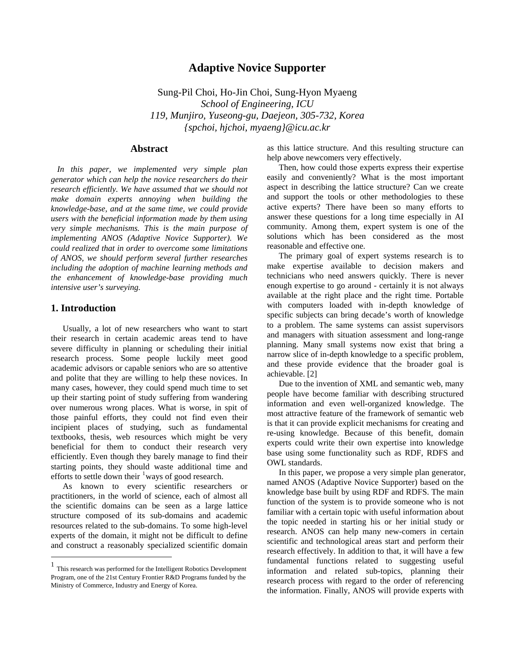# **Adaptive Novice Supporter**

Sung-Pil Choi, Ho-Jin Choi, Sung-Hyon Myaeng *School of Engineering, ICU 119, Munjiro, Yuseong-gu, Daejeon, 305-732, Korea {spchoi, hjchoi, myaeng}@icu.ac.kr* 

## **Abstract**

 *In this paper, we implemented very simple plan generator which can help the novice researchers do their research efficiently. We have assumed that we should not make domain experts annoying when building the knowledge-base, and at the same time, we could provide users with the beneficial information made by them using very simple mechanisms. This is the main purpose of implementing ANOS (Adaptive Novice Supporter). We could realized that in order to overcome some limitations of ANOS, we should perform several further researches including the adoption of machine learning methods and the enhancement of knowledge-base providing much intensive user's surveying.* 

### **1. Introduction**

 $\overline{a}$ 

Usually, a lot of new researchers who want to start their research in certain academic areas tend to have severe difficulty in planning or scheduling their initial research process. Some people luckily meet good academic advisors or capable seniors who are so attentive and polite that they are willing to help these novices. In many cases, however, they could spend much time to set up their starting point of study suffering from wandering over numerous wrong places. What is worse, in spit of those painful efforts, they could not find even their incipient places of studying, such as fundamental textbooks, thesis, web resources which might be very beneficial for them to conduct their research very efficiently. Even though they barely manage to find their starting points, they should waste additional time and efforts to settle down their  $\frac{1}{2}$  $\frac{1}{2}$  $\frac{1}{2}$  ways of good research.

As known to every scientific researchers or practitioners, in the world of science, each of almost all the scientific domains can be seen as a large lattice structure composed of its sub-domains and academic resources related to the sub-domains. To some high-level experts of the domain, it might not be difficult to define and construct a reasonably specialized scientific domain as this lattice structure. And this resulting structure can help above newcomers very effectively.

Then, how could those experts express their expertise easily and conveniently? What is the most important aspect in describing the lattice structure? Can we create and support the tools or other methodologies to these active experts? There have been so many efforts to answer these questions for a long time especially in AI community. Among them, expert system is one of the solutions which has been considered as the most reasonable and effective one.

The primary goal of expert systems research is to make expertise available to decision makers and technicians who need answers quickly. There is never enough expertise to go around - certainly it is not always available at the right place and the right time. Portable with computers loaded with in-depth knowledge of specific subjects can bring decade's worth of knowledge to a problem. The same systems can assist supervisors and managers with situation assessment and long-range planning. Many small systems now exist that bring a narrow slice of in-depth knowledge to a specific problem, and these provide evidence that the broader goal is achievable. [2]

Due to the invention of XML and semantic web, many people have become familiar with describing structured information and even well-organized knowledge. The most attractive feature of the framework of semantic web is that it can provide explicit mechanisms for creating and re-using knowledge. Because of this benefit, domain experts could write their own expertise into knowledge base using some functionality such as RDF, RDFS and OWL standards.

In this paper, we propose a very simple plan generator, named ANOS (Adaptive Novice Supporter) based on the knowledge base built by using RDF and RDFS. The main function of the system is to provide someone who is not familiar with a certain topic with useful information about the topic needed in starting his or her initial study or research. ANOS can help many new-comers in certain scientific and technological areas start and perform their research effectively. In addition to that, it will have a few fundamental functions related to suggesting useful information and related sub-topics, planning their research process with regard to the order of referencing the information. Finally, ANOS will provide experts with

<span id="page-0-0"></span><sup>1</sup> This research was performed for the Intelligent Robotics Development Program, one of the 21st Century Frontier R&D Programs funded by the Ministry of Commerce, Industry and Energy of Korea.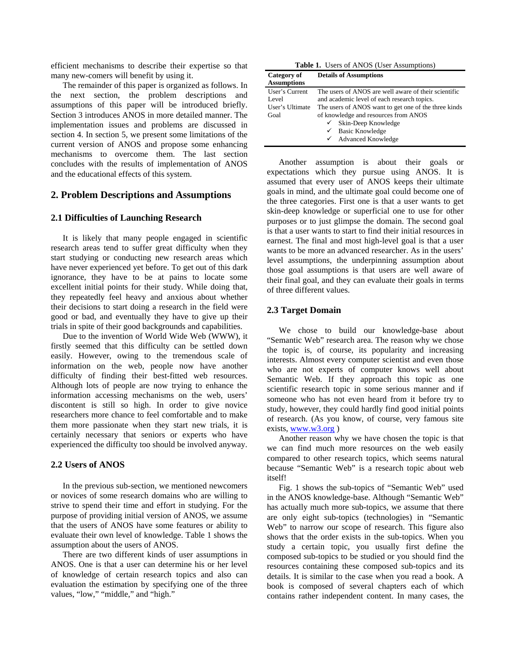efficient mechanisms to describe their expertise so that many new-comers will benefit by using it.

The remainder of this paper is organized as follows. In the next section, the problem descriptions and assumptions of this paper will be introduced briefly. Section 3 introduces ANOS in more detailed manner. The implementation issues and problems are discussed in section 4. In section 5, we present some limitations of the current version of ANOS and propose some enhancing mechanisms to overcome them. The last section concludes with the results of implementation of ANOS and the educational effects of this system.

### **2. Problem Descriptions and Assumptions**

#### **2.1 Difficulties of Launching Research**

It is likely that many people engaged in scientific research areas tend to suffer great difficulty when they start studying or conducting new research areas which have never experienced yet before. To get out of this dark ignorance, they have to be at pains to locate some excellent initial points for their study. While doing that, they repeatedly feel heavy and anxious about whether their decisions to start doing a research in the field were good or bad, and eventually they have to give up their trials in spite of their good backgrounds and capabilities.

Due to the invention of World Wide Web (WWW), it firstly seemed that this difficulty can be settled down easily. However, owing to the tremendous scale of information on the web, people now have another difficulty of finding their best-fitted web resources. Although lots of people are now trying to enhance the information accessing mechanisms on the web, users' discontent is still so high. In order to give novice researchers more chance to feel comfortable and to make them more passionate when they start new trials, it is certainly necessary that seniors or experts who have experienced the difficulty too should be involved anyway.

#### **2.2 Users of ANOS**

In the previous sub-section, we mentioned newcomers or novices of some research domains who are willing to strive to spend their time and effort in studying. For the purpose of providing initial version of ANOS, we assume that the users of ANOS have some features or ability to evaluate their own level of knowledge. Table 1 shows the assumption about the users of ANOS.

There are two different kinds of user assumptions in ANOS. One is that a user can determine his or her level of knowledge of certain research topics and also can evaluation the estimation by specifying one of the three values, "low," "middle," and "high."

**Table 1.** Users of ANOS (User Assumptions)

| Category of        | <b>Details of Assumptions</b>                        |  |  |
|--------------------|------------------------------------------------------|--|--|
| <b>Assumptions</b> |                                                      |  |  |
| User's Current     | The users of ANOS are well aware of their scientific |  |  |
| Level              | and academic level of each research topics.          |  |  |
| User's Ultimate    | The users of ANOS want to get one of the three kinds |  |  |
| Goal               | of knowledge and resources from ANOS                 |  |  |
|                    | $\checkmark$ Skin-Deep Knowledge                     |  |  |
|                    | $\checkmark$ Basic Knowledge                         |  |  |
|                    | ✔ Advanced Knowledge                                 |  |  |

Another assumption is about their goals or expectations which they pursue using ANOS. It is assumed that every user of ANOS keeps their ultimate goals in mind, and the ultimate goal could become one of the three categories. First one is that a user wants to get skin-deep knowledge or superficial one to use for other purposes or to just glimpse the domain. The second goal is that a user wants to start to find their initial resources in earnest. The final and most high-level goal is that a user wants to be more an advanced researcher. As in the users' level assumptions, the underpinning assumption about those goal assumptions is that users are well aware of their final goal, and they can evaluate their goals in terms of three different values.

#### **2.3 Target Domain**

We chose to build our knowledge-base about "Semantic Web" research area. The reason why we chose the topic is, of course, its popularity and increasing interests. Almost every computer scientist and even those who are not experts of computer knows well about Semantic Web. If they approach this topic as one scientific research topic in some serious manner and if someone who has not even heard from it before try to study, however, they could hardly find good initial points of research. (As you know, of course, very famous site exists, [www.w3.org](http://www.w3.org/) )

Another reason why we have chosen the topic is that we can find much more resources on the web easily compared to other research topics, which seems natural because "Semantic Web" is a research topic about web itself!

Fig. 1 shows the sub-topics of "Semantic Web" used in the ANOS knowledge-base. Although "Semantic Web" has actually much more sub-topics, we assume that there are only eight sub-topics (technologies) in "Semantic Web" to narrow our scope of research. This figure also shows that the order exists in the sub-topics. When you study a certain topic, you usually first define the composed sub-topics to be studied or you should find the resources containing these composed sub-topics and its details. It is similar to the case when you read a book. A book is composed of several chapters each of which contains rather independent content. In many cases, the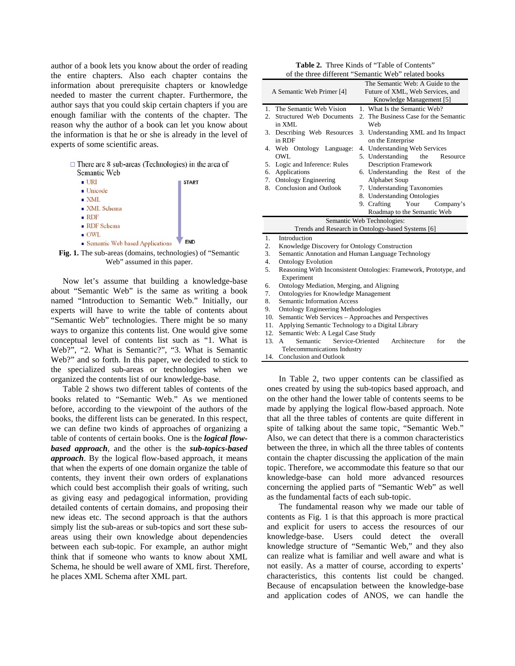author of a book lets you know about the order of reading the entire chapters. Also each chapter contains the information about prerequisite chapters or knowledge needed to master the current chapter. Furthermore, the author says that you could skip certain chapters if you are enough familiar with the contents of the chapter. The reason why the author of a book can let you know about the information is that he or she is already in the level of experts of some scientific areas.

|              | $\Box$ There are 8 sub-areas (Technologies) in the area of |
|--------------|------------------------------------------------------------|
| Semantic Web |                                                            |

| $\blacksquare$ URI                | <b>START</b> |
|-----------------------------------|--------------|
| $\blacksquare$ Unicode            |              |
| $\blacksquare$ XML                |              |
| ■ XML Schema                      |              |
| RDF                               |              |
| • RDF Schema                      |              |
| $\blacksquare$ OWL                |              |
| • Semantic Web based Applications | <b>FND</b>   |



Now let's assume that building a knowledge-base about "Semantic Web" is the same as writing a book named "Introduction to Semantic Web." Initially, our experts will have to write the table of contents about "Semantic Web" technologies. There might be so many ways to organize this contents list. One would give some conceptual level of contents list such as "1. What is Web?", "2. What is Semantic?", "3. What is Semantic Web?" and so forth. In this paper, we decided to stick to the specialized sub-areas or technologies when we organized the contents list of our knowledge-base.

Table 2 shows two different tables of contents of the books related to "Semantic Web." As we mentioned before, according to the viewpoint of the authors of the books, the different lists can be generated. In this respect, we can define two kinds of approaches of organizing a table of contents of certain books. One is the *logical flowbased approach*, and the other is the *sub-topics-based approach*. By the logical flow-based approach, it means that when the experts of one domain organize the table of contents, they invent their own orders of explanations which could best accomplish their goals of writing, such as giving easy and pedagogical information, providing detailed contents of certain domains, and proposing their new ideas etc. The second approach is that the authors simply list the sub-areas or sub-topics and sort these subareas using their own knowledge about dependencies between each sub-topic. For example, an author might think that if someone who wants to know about XML Schema, he should be well aware of XML first. Therefore, he places XML Schema after XML part.

|                                                     | <b>Table 2.</b> Three Kinds of "Table of Contents" |  |  |
|-----------------------------------------------------|----------------------------------------------------|--|--|
| of the three different "Semantic Web" related books |                                                    |  |  |

| or the time university                                                                                                                                                                                                                                                                                | solinamic web Tenated books                                                                                                                                                                                                                                                                                                                                                                    |  |
|-------------------------------------------------------------------------------------------------------------------------------------------------------------------------------------------------------------------------------------------------------------------------------------------------------|------------------------------------------------------------------------------------------------------------------------------------------------------------------------------------------------------------------------------------------------------------------------------------------------------------------------------------------------------------------------------------------------|--|
| A Semantic Web Primer [4]                                                                                                                                                                                                                                                                             | The Semantic Web: A Guide to the<br>Future of XML, Web Services, and<br>Knowledge Management [5]                                                                                                                                                                                                                                                                                               |  |
| 1. The Semantic Web Vision<br>Structured Web Documents<br>$2^{\circ}$<br>in XML<br>3.<br>Describing Web Resources<br>in RDF<br>4. Web Ontology Language:<br><b>OWL</b><br>Logic and Inference: Rules<br>5.<br>Applications<br>6.<br><b>Ontology Engineering</b><br>7.<br>Conclusion and Outlook<br>8. | 1. What Is the Semantic Web?<br>2. The Business Case for the Semantic<br>Web<br>3. Understanding XML and Its Impact<br>on the Enterprise<br>4. Understanding Web Services<br>5. Understanding the<br>Resource<br><b>Description Framework</b><br>6. Understanding the Rest of the<br>Alphabet Soup<br>7. Understanding Taxonomies<br>8. Understanding Ontologies<br>9. Crafting Your Company's |  |
|                                                                                                                                                                                                                                                                                                       | Roadmap to the Semantic Web                                                                                                                                                                                                                                                                                                                                                                    |  |
| Semantic Web Technologies:                                                                                                                                                                                                                                                                            |                                                                                                                                                                                                                                                                                                                                                                                                |  |
|                                                                                                                                                                                                                                                                                                       | Trends and Research in Ontology-based Systems [6]                                                                                                                                                                                                                                                                                                                                              |  |
| Introduction<br>1.                                                                                                                                                                                                                                                                                    |                                                                                                                                                                                                                                                                                                                                                                                                |  |
| Knowledge Discovery for Ontology Construction<br>2.                                                                                                                                                                                                                                                   |                                                                                                                                                                                                                                                                                                                                                                                                |  |

- 3. Semantic Annotation and Human Language Technology
- 4. Ontology Evolution
- 5. Reasoning With Inconsistent Ontologies: Framework, Prototype, and Experiment
- 6. Ontology Mediation, Merging, and Aligning
- 7. Ontologyies for Knowledge Management
- 8. Semantic Information Access
- 9. Ontology Engineering Methodologies
- 10. Semantic Web Services Approaches and Perspectives
- 11. Applying Semantic Technology to a Digital Library
- 12. Semantic Web: A Legal Case Study
- 13. A Semantic Service-Oriented Architecture for the Telecommunications Industry
- 14. Conclusion and Outlook

In Table 2, two upper contents can be classified as ones created by using the sub-topics based approach, and on the other hand the lower table of contents seems to be made by applying the logical flow-based approach. Note that all the three tables of contents are quite different in spite of talking about the same topic, "Semantic Web." Also, we can detect that there is a common characteristics between the three, in which all the three tables of contents contain the chapter discussing the application of the main topic. Therefore, we accommodate this feature so that our knowledge-base can hold more advanced resources concerning the applied parts of "Semantic Web" as well as the fundamental facts of each sub-topic.

The fundamental reason why we made our table of contents as Fig. 1 is that this approach is more practical and explicit for users to access the resources of our knowledge-base. Users could detect the overall knowledge structure of "Semantic Web," and they also can realize what is familiar and well aware and what is not easily. As a matter of course, according to experts' characteristics, this contents list could be changed. Because of encapsulation between the knowledge-base and application codes of ANOS, we can handle the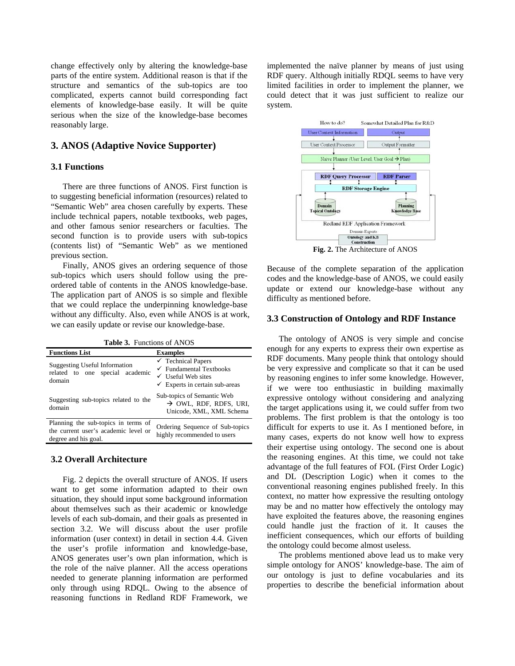change effectively only by altering the knowledge-base parts of the entire system. Additional reason is that if the structure and semantics of the sub-topics are too complicated, experts cannot build corresponding fact elements of knowledge-base easily. It will be quite serious when the size of the knowledge-base becomes reasonably large.

### **3. ANOS (Adaptive Novice Supporter)**

### **3.1 Functions**

There are three functions of ANOS. First function is to suggesting beneficial information (resources) related to "Semantic Web" area chosen carefully by experts. These include technical papers, notable textbooks, web pages, and other famous senior researchers or faculties. The second function is to provide users with sub-topics (contents list) of "Semantic Web" as we mentioned previous section.

Finally, ANOS gives an ordering sequence of those sub-topics which users should follow using the preordered table of contents in the ANOS knowledge-base. The application part of ANOS is so simple and flexible that we could replace the underpinning knowledge-base without any difficulty. Also, even while ANOS is at work, we can easily update or revise our knowledge-base.

**Table 3.** Functions of ANOS

| <b>Functions List</b>                                                                               | <b>Examples</b>                                                                                                                                   |
|-----------------------------------------------------------------------------------------------------|---------------------------------------------------------------------------------------------------------------------------------------------------|
| <b>Suggesting Useful Information</b><br>related to one special academic<br>domain                   | $\checkmark$ Technical Papers<br>$\checkmark$ Fundamental Textbooks<br>$\checkmark$ Useful Web sites<br>$\checkmark$ Experts in certain sub-areas |
| Suggesting sub-topics related to the<br>domain                                                      | Sub-topics of Semantic Web<br>$\rightarrow$ OWL, RDF, RDFS, URI,<br>Unicode, XML, XML Schema                                                      |
| Planning the sub-topics in terms of<br>the current user's academic level or<br>degree and his goal. | Ordering Sequence of Sub-topics<br>highly recommended to users                                                                                    |

### **3.2 Overall Architecture**

Fig. 2 depicts the overall structure of ANOS. If users want to get some information adapted to their own situation, they should input some background information about themselves such as their academic or knowledge levels of each sub-domain, and their goals as presented in section 3.2. We will discuss about the user profile information (user context) in detail in section 4.4. Given the user's profile information and knowledge-base, ANOS generates user's own plan information, which is the role of the naïve planner. All the access operations needed to generate planning information are performed only through using RDQL. Owing to the absence of reasoning functions in Redland RDF Framework, we

implemented the naïve planner by means of just using RDF query. Although initially RDQL seems to have very limited facilities in order to implement the planner, we could detect that it was just sufficient to realize our system.



**Fig. 2.** The Architecture of ANOS

Because of the complete separation of the application codes and the knowledge-base of ANOS, we could easily update or extend our knowledge-base without any difficulty as mentioned before.

### **3.3 Construction of Ontology and RDF Instance**

The ontology of ANOS is very simple and concise enough for any experts to express their own expertise as RDF documents. Many people think that ontology should be very expressive and complicate so that it can be used by reasoning engines to infer some knowledge. However, if we were too enthusiastic in building maximally expressive ontology without considering and analyzing the target applications using it, we could suffer from two problems. The first problem is that the ontology is too difficult for experts to use it. As I mentioned before, in many cases, experts do not know well how to express their expertise using ontology. The second one is about the reasoning engines. At this time, we could not take advantage of the full features of FOL (First Order Logic) and DL (Description Logic) when it comes to the conventional reasoning engines published freely. In this context, no matter how expressive the resulting ontology may be and no matter how effectively the ontology may have exploited the features above, the reasoning engines could handle just the fraction of it. It causes the inefficient consequences, which our efforts of building the ontology could become almost useless.

The problems mentioned above lead us to make very simple ontology for ANOS' knowledge-base. The aim of our ontology is just to define vocabularies and its properties to describe the beneficial information about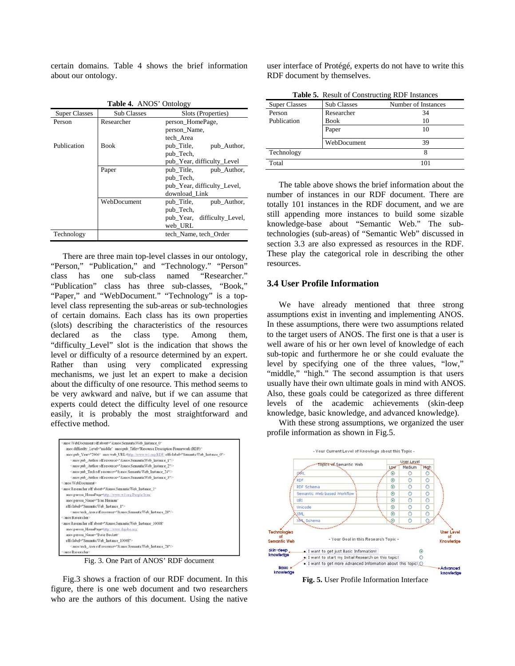certain domains. Table 4 shows the brief information about our ontology.

| <b>Table 4. ANOS' Ontology</b> |                    |                             |  |
|--------------------------------|--------------------|-----------------------------|--|
| <b>Super Classes</b>           | <b>Sub Classes</b> | Slots (Properties)          |  |
| Person                         | Researcher         | person_HomePage,            |  |
|                                |                    | person_Name,                |  |
|                                |                    | tech Area                   |  |
| Publication                    | <b>Book</b>        | pub Title,<br>pub Author,   |  |
|                                |                    | pub_Tech,                   |  |
|                                |                    | pub_Year, difficulty_Level  |  |
|                                | Paper              | pub_Title, pub_Author,      |  |
|                                |                    | pub_Tech,                   |  |
|                                |                    | pub_Year, difficulty_Level, |  |
|                                |                    | download Link               |  |
|                                | WebDocument        | pub_Title,<br>pub Author,   |  |
|                                |                    | pub Tech,                   |  |
|                                |                    | pub_Year, difficulty_Level, |  |
|                                |                    | web URL                     |  |
| Technology                     |                    | tech Name, tech Order       |  |

There are three main top-level classes in our ontology, "Person," "Publication," and "Technology." "Person" class has one sub-class named "Researcher." "Publication" class has three sub-classes, "Book," "Paper," and "WebDocument." "Technology" is a toplevel class representing the sub-areas or sub-technologies of certain domains. Each class has its own properties (slots) describing the characteristics of the resources declared as the class type. Among them, "difficulty\_Level" slot is the indication that shows the level or difficulty of a resource determined by an expert. Rather than using very complicated expressing mechanisms, we just let an expert to make a decision about the difficulty of one resource. This method seems to be very awkward and naïve, but if we can assume that experts could detect the difficulty level of one resource easily, it is probably the most straightforward and effective method.

| <anos: <="" rdf:about="&amp;anos: SemanticWeb_Instance_0" th="" webdocument=""></anos:>                                     |
|-----------------------------------------------------------------------------------------------------------------------------|
| anos:difficulty_Level="middle" anos:pub_Title="Resource Description Framework (RDF)"                                        |
| anos:pub Year="2006" anos:web URL=http://www.w3.org/RDF/rdfs/label="SemanticWeb Instance 0">                                |
| <anos:pub_author rdf="" resource="&amp;anos:SemanticWeb_Instance_1"></anos:pub_author>                                      |
| <anos:pub_author.rdf.resource="&anos:semanticweb_instance_2"></anos:pub_author.rdf.resource="&anos:semanticweb_instance_2"> |
| <anos:pub rdf:resource="&amp;anos;SemanticWeb Instance 24" tech=""></anos:pub>                                              |
| <anos:pub_author rdf:resource="&amp;anos;SemanticWeb_Instance_3"></anos:pub_author>                                         |
| anos: WebDocument>                                                                                                          |
| <anos:researcher <="" rdf:about="&amp;anos;SemanticWeb_Instance_1" td=""></anos:researcher>                                 |
| anos:person HomePage=http://www.w3.org/People/Ivan/                                                                         |
| anos:person Name="Ivan Herman"                                                                                              |
| rdfs:label="SemanticWeb_Instance_1">                                                                                        |
| <anos:tech area="" rdf:resource="&amp;anos:SemanticWeb Instance 24"></anos:tech>                                            |
|                                                                                                                             |
| <anos:researcher <="" rdf:about="&amp;anos;SemanticWeb Instance 10008" td=""></anos:researcher>                             |
| anos:person HomePage=http://www.dajobe.org/                                                                                 |
| anos:person_Name="Dave Beckett"                                                                                             |
| rdfs:label="SemanticWeb_Instance_10008">                                                                                    |
| <anos:tech area="" rdf:resource="&amp;anos:SemanticWeb Instance 24"></anos:tech>                                            |
|                                                                                                                             |

Fig. 3. One Part of ANOS' RDF document

Fig.3 shows a fraction of our RDF document. In this figure, there is one web document and two researchers who are the authors of this document. Using the native

user interface of Protégé, experts do not have to write this RDF document by themselves.

| <b>Table 5.</b> Result of Constructing RDF Instances |                    |                     |  |
|------------------------------------------------------|--------------------|---------------------|--|
| <b>Super Classes</b>                                 | <b>Sub Classes</b> | Number of Instances |  |
| Person                                               | Researcher         | 34                  |  |
| Publication                                          | Book               | 10                  |  |
|                                                      | Paper              | 10                  |  |
|                                                      | WebDocument        | 39                  |  |
| Technology                                           |                    | 8                   |  |
| Total                                                |                    | 101                 |  |

The table above shows the brief information about the number of instances in our RDF document. There are totally 101 instances in the RDF document, and we are still appending more instances to build some sizable knowledge-base about "Semantic Web." The subtechnologies (sub-areas) of "Semantic Web" discussed in section 3.3 are also expressed as resources in the RDF. These play the categorical role in describing the other resources.

#### **3.4 User Profile Information**

We have already mentioned that three strong assumptions exist in inventing and implementing ANOS. In these assumptions, there were two assumptions related to the target users of ANOS. The first one is that a user is well aware of his or her own level of knowledge of each sub-topic and furthermore he or she could evaluate the level by specifying one of the three values, "low," "middle," "high." The second assumption is that users usually have their own ultimate goals in mind with ANOS. Also, these goals could be categorized as three different levels of the academic achievements (skin-deep knowledge, basic knowledge, and advanced knowledge).

With these strong assumptions, we organized the user profile information as shown in Fig.5.

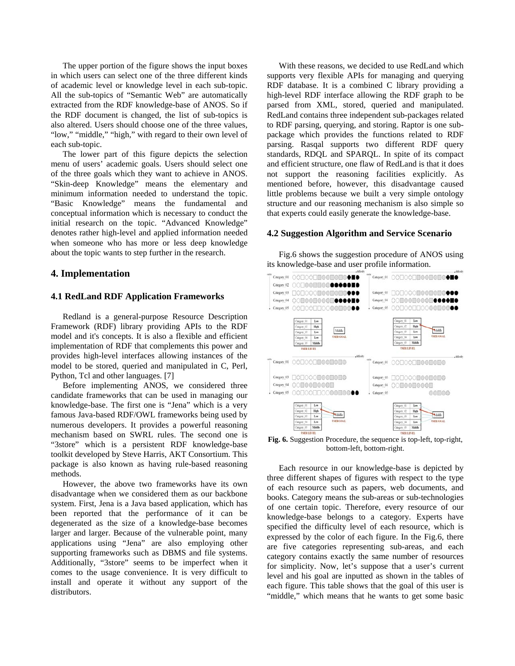The upper portion of the figure shows the input boxes in which users can select one of the three different kinds of academic level or knowledge level in each sub-topic. All the sub-topics of "Semantic Web" are automatically extracted from the RDF knowledge-base of ANOS. So if the RDF document is changed, the list of sub-topics is also altered. Users should choose one of the three values, "low," "middle," "high," with regard to their own level of each sub-topic.

The lower part of this figure depicts the selection menu of users' academic goals. Users should select one of the three goals which they want to achieve in ANOS. "Skin-deep Knowledge" means the elementary and minimum information needed to understand the topic. "Basic Knowledge" means the fundamental and conceptual information which is necessary to conduct the initial research on the topic. "Advanced Knowledge" denotes rather high-level and applied information needed when someone who has more or less deep knowledge about the topic wants to step further in the research.

#### **4. Implementation**

#### **4.1 RedLand RDF Application Frameworks**

Redland is a general-purpose Resource Description Framework (RDF) library providing APIs to the RDF model and it's concepts. It is also a flexible and efficient implementation of RDF that complements this power and provides high-level interfaces allowing instances of the model to be stored, queried and manipulated in C, Perl, Python, Tcl and other languages. [7]

Before implementing ANOS, we considered three candidate frameworks that can be used in managing our knowledge-base. The first one is "Jena" which is a very famous Java-based RDF/OWL frameworks being used by numerous developers. It provides a powerful reasoning mechanism based on SWRL rules. The second one is "3store" which is a persistent RDF knowledge-base toolkit developed by Steve Harris, AKT Consortium. This package is also known as having rule-based reasoning methods.

However, the above two frameworks have its own disadvantage when we considered them as our backbone system. First, Jena is a Java based application, which has been reported that the performance of it can be degenerated as the size of a knowledge-base becomes larger and larger. Because of the vulnerable point, many applications using "Jena" are also employing other supporting frameworks such as DBMS and file systems. Additionally, "3store" seems to be imperfect when it comes to the usage convenience. It is very difficult to install and operate it without any support of the distributors.

With these reasons, we decided to use RedLand which supports very flexible APIs for managing and querying RDF database. It is a combined C library providing a high-level RDF interface allowing the RDF graph to be parsed from XML, stored, queried and manipulated. RedLand contains three independent sub-packages related to RDF parsing, querying, and storing. Raptor is one subpackage which provides the functions related to RDF parsing. Rasqal supports two different RDF query standards, RDQL and SPARQL. In spite of its compact and efficient structure, one flaw of RedLand is that it does not support the reasoning facilities explicitly. As mentioned before, however, this disadvantage caused little problems because we built a very simple ontology structure and our reasoning mechanism is also simple so that experts could easily generate the knowledge-base.

#### **4.2 Suggestion Algorithm and Service Scenario**

Fig.6 shows the suggestion procedure of ANOS using its knowledge-base and user profile information.



**Fig. 6.** Suggestion Procedure, the sequence is top-left, top-right, bottom-left, bottom-right.

Each resource in our knowledge-base is depicted by three different shapes of figures with respect to the type of each resource such as papers, web documents, and books. Category means the sub-areas or sub-technologies of one certain topic. Therefore, every resource of our knowledge-base belongs to a category. Experts have specified the difficulty level of each resource, which is expressed by the color of each figure. In the Fig.6, there are five categories representing sub-areas, and each category contains exactly the same number of resources for simplicity. Now, let's suppose that a user's current level and his goal are inputted as shown in the tables of each figure. This table shows that the goal of this user is "middle," which means that he wants to get some basic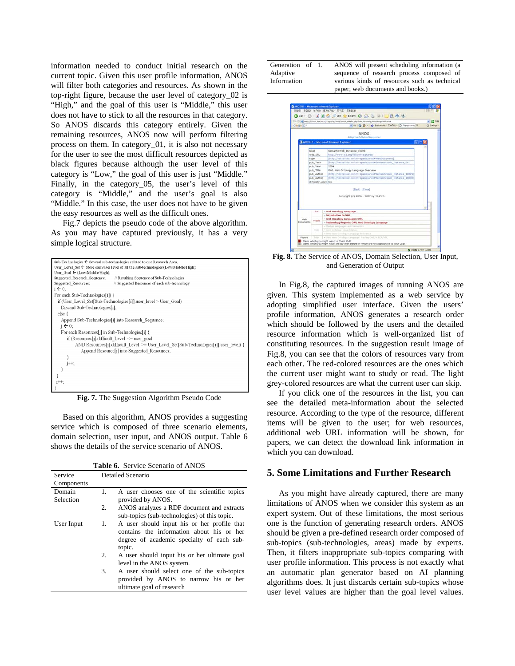information needed to conduct initial research on the current topic. Given this user profile information, ANOS will filter both categories and resources. As shown in the top-right figure, because the user level of category\_02 is "High," and the goal of this user is "Middle," this user does not have to stick to all the resources in that category. So ANOS discards this category entirely. Given the remaining resources, ANOS now will perform filtering process on them. In category\_01, it is also not necessary for the user to see the most difficult resources depicted as black figures because although the user level of this category is "Low," the goal of this user is just "Middle." Finally, in the category 05, the user's level of this category is "Middle," and the user's goal is also "Middle." In this case, the user does not have to be given the easy resources as well as the difficult ones.

Fig.7 depicts the pseudo code of the above algorithm. As you may have captured previously, it has a very simple logical structure.

| Sub-Technologies ← Several sub-technologies related to one Research Area:                        |
|--------------------------------------------------------------------------------------------------|
| User Level Set $\leftarrow$ Store each user level of all the sub-technologies (Low/Middle/High); |
| User Goal $\leftarrow$ (Low/Middle/High);                                                        |
| Suggested Research Sequence;<br>// Resulting Sequence of Sub-Technologies                        |
| Suggested Resources:<br>// Suggested Resources of each sub-technology                            |
| $i \leftarrow 0$ :                                                                               |
| For each Sub-Technologies[i]) {                                                                  |
| if (User Level Set[Sub-Technologies[i]] user level > User Goal)                                  |
| Discard Sub-Technologies[i];                                                                     |
| else {                                                                                           |
| Append Sub-Technologies[i] into Research Sequence;                                               |
| $i \leftarrow 0$ ;                                                                               |
| For each Resources[j] in Sub-Technologies[i] {                                                   |
| if (Resources[j] difficult Level $\leq$ user goal                                                |
| AND Resources[j].difficult Level >= User Level Set[Sub-Technologies[i]].user level) {            |
| Append Resource[j] into Suggested Resources;                                                     |
|                                                                                                  |
| i++:                                                                                             |
|                                                                                                  |
|                                                                                                  |
| $i++$ :                                                                                          |
|                                                                                                  |

**Fig. 7.** The Suggestion Algorithm Pseudo Code

Based on this algorithm, ANOS provides a suggesting service which is composed of three scenario elements, domain selection, user input, and ANOS output. Table 6 shows the details of the service scenario of ANOS.

| <b>Table 6.</b> Service Scenario of ANOS |
|------------------------------------------|
|------------------------------------------|

| Service    | Detailed Scenario |                                                                                                                                       |
|------------|-------------------|---------------------------------------------------------------------------------------------------------------------------------------|
| Components |                   |                                                                                                                                       |
| Domain     | $\mathbf{1}$ .    | A user chooses one of the scientific topics                                                                                           |
| Selection  |                   | provided by ANOS.                                                                                                                     |
|            | 2.                | ANOS analyzes a RDF document and extracts                                                                                             |
|            |                   | sub-topics (sub-technologies) of this topic.                                                                                          |
| User Input | 1.                | A user should input his or her profile that<br>contains the information about his or her<br>degree of academic specialty of each sub- |
|            |                   | topic.                                                                                                                                |
|            | 2.                | A user should input his or her ultimate goal                                                                                          |
|            | 3.                | level in the ANOS system.                                                                                                             |
|            |                   | A user should select one of the sub-topics<br>provided by ANOS to narrow his or her<br>ultimate goal of research                      |

Generation of 1. Adaptive Information

1. ANOS will present scheduling information (a sequence of research process composed of various kinds of resources such as technical paper, web documents and books.)



**Fig. 8.** The Service of ANOS, Domain Selection, User Input, and Generation of Output

In Fig.8, the captured images of running ANOS are given. This system implemented as a web service by adopting simplified user interface. Given the users' profile information, ANOS generates a research order which should be followed by the users and the detailed resource information which is well-organized list of constituting resources. In the suggestion result image of Fig.8, you can see that the colors of resources vary from each other. The red-colored resources are the ones which the current user might want to study or read. The light grey-colored resources are what the current user can skip.

If you click one of the resources in the list, you can see the detailed meta-information about the selected resource. According to the type of the resource, different items will be given to the user; for web resources, additional web URL information will be shown, for papers, we can detect the download link information in which you can download.

#### **5. Some Limitations and Further Research**

As you might have already captured, there are many limitations of ANOS when we consider this system as an expert system. Out of these limitations, the most serious one is the function of generating research orders. ANOS should be given a pre-defined research order composed of sub-topics (sub-technologies, areas) made by experts. Then, it filters inappropriate sub-topics comparing with user profile information. This process is not exactly what an automatic plan generator based on AI planning algorithms does. It just discards certain sub-topics whose user level values are higher than the goal level values.